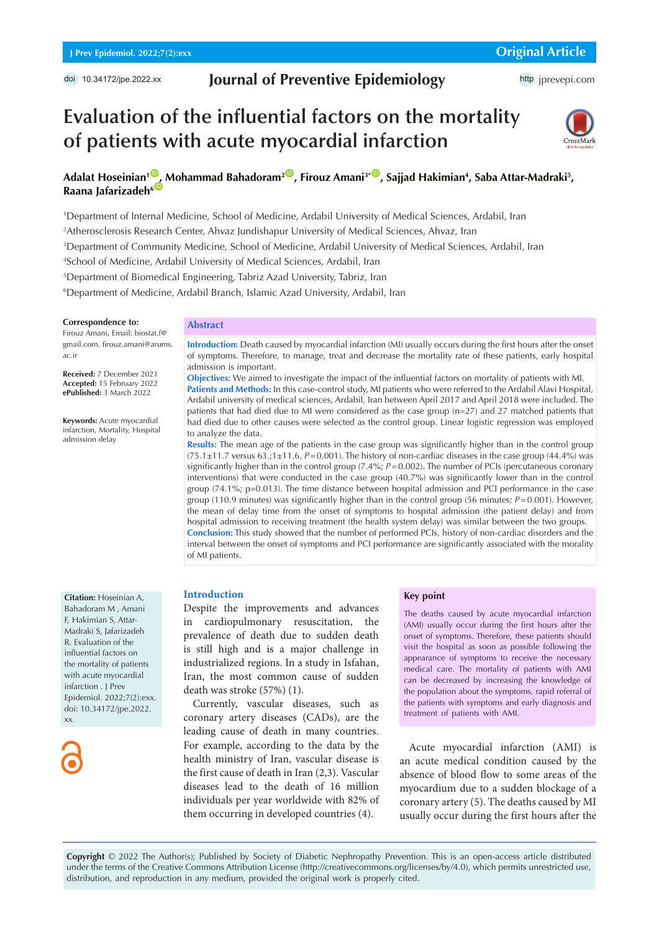# **Journal of Preventive Epidemiology**

http [jprevepi.com](http://jprevepi.com)

# **Evaluation of the influential factors on the mortality of patients with acute myocardial infarction**



## Adalat Hoseinian<sup>10</sup>, Mohammad Bahadoram<sup>200</sup>, Firouz Amani<sup>3+10</sup>, Sajjad Hakimian<sup>4</sup>, Saba Attar-Madraki<sup>5</sup>, **Raana Jafarizadeh**<sup>6</sub></sup>

1 Department of Internal Medicine, School of Medicine, Ardabil University of Medical Sciences, Ardabil, Iran

2 Atherosclerosis Research Center, Ahvaz Jundishapur University of Medical Sciences, Ahvaz, Iran

3 Department of Community Medicine, School of Medicine, Ardabil University of Medical Sciences, Ardabil, Iran

4 School of Medicine, Ardabil University of Medical Sciences, Ardabil, Iran

5 Department of Biomedical Engineering, Tabriz Azad University, Tabriz, Iran

6 Department of Medicine, Ardabil Branch, Islamic Azad University, Ardabil, Iran

#### **Correspondence to:**

Firouz Amani, Email: biostat.f@ gmail.com, firouz.amani@arums. ac.ir

**Received:** 7 December 2021 **Accepted:** 15 February 2022 **ePublished:** 3 March 2022

**Keywords:** Acute myocardial infarction, Mortality, Hospital admission delay

### **Abstract**

**Introduction:** Death caused by myocardial infarction (MI) usually occurs during the first hours after the onset of symptoms. Therefore, to manage, treat and decrease the mortality rate of these patients, early hospital admission is important.

**Objectives:** We aimed to investigate the impact of the influential factors on mortality of patients with MI. **Patients and Methods:** In this case-control study, MI patients who were referred to the Ardabil Alavi Hospital, Ardabil university of medical sciences, Ardabil, Iran between April 2017 and April 2018 were included. The patients that had died due to MI were considered as the case group (n=27) and 27 matched patients that had died due to other causes were selected as the control group. Linear logistic regression was employed to analyze the data.

**Results:** The mean age of the patients in the case group was significantly higher than in the control group (75.1±11.7 versus 63.;1±11.6, *P*=0.001). The history of non-cardiac diseases in the case group (44.4%) was significantly higher than in the control group (7.4%; *P*=0.002). The number of PCIs (percutaneous coronary interventions) that were conducted in the case group (40.7%) was significantly lower than in the control group (74.1%; p=0.013). The time distance between hospital admission and PCI performance in the case group (110.9 minutes) was significantly higher than in the control group (56 minutes;  $P=0.001$ ). However, the mean of delay time from the onset of symptoms to hospital admission (the patient delay) and from hospital admission to receiving treatment (the health system delay) was similar between the two groups. **Conclusion:** This study showed that the number of performed PCIs, history of non-cardiac disorders and the interval between the onset of symptoms and PCI performance are significantly associated with the morality of MI patients.

**Citation:** Hoseinian A, Bahadoram M , Amani F, Hakimian S, Attar-Madraki S, Jafarizadeh R. Evaluation of the influential factors on the mortality of patients with acute myocardial infarction . J Prev Epidemiol. 2022;7(2):exx. doi: 10.34172/jpe.2022. xx.

#### **Introduction**

Despite the improvements and advances in cardiopulmonary resuscitation, the prevalence of death due to sudden death is still high and is a major challenge in industrialized regions. In a study in Isfahan, Iran, the most common cause of sudden death was stroke (57%) (1).

Currently, vascular diseases, such as coronary artery diseases (CADs), are the leading cause of death in many countries. For example, according to the data by the health ministry of Iran, vascular disease is the first cause of death in Iran (2,3). Vascular diseases lead to the death of 16 million individuals per year worldwide with 82% of them occurring in developed countries (4).

#### **Key point**

The deaths caused by acute myocardial infarction (AMI) usually occur during the first hours after the onset of symptoms. Therefore, these patients should visit the hospital as soon as possible following the appearance of symptoms to receive the necessary medical care. The mortality of patients with AMI can be decreased by increasing the knowledge of the population about the symptoms, rapid referral of the patients with symptoms and early diagnosis and treatment of patients with AMI.

Acute myocardial infarction (AMI) is an acute medical condition caused by the absence of blood flow to some areas of the myocardium due to a sudden blockage of a coronary artery (5). The deaths caused by MI usually occur during the first hours after the

**Copyright** © 2022 The Author(s); Published by Society of Diabetic Nephropathy Prevention. This is an open-access article distributed under the terms of the Creative Commons Attribution License (http://creativecommons.org/licenses/by/4.0), which permits unrestricted use, distribution, and reproduction in any medium, provided the original work is properly cited.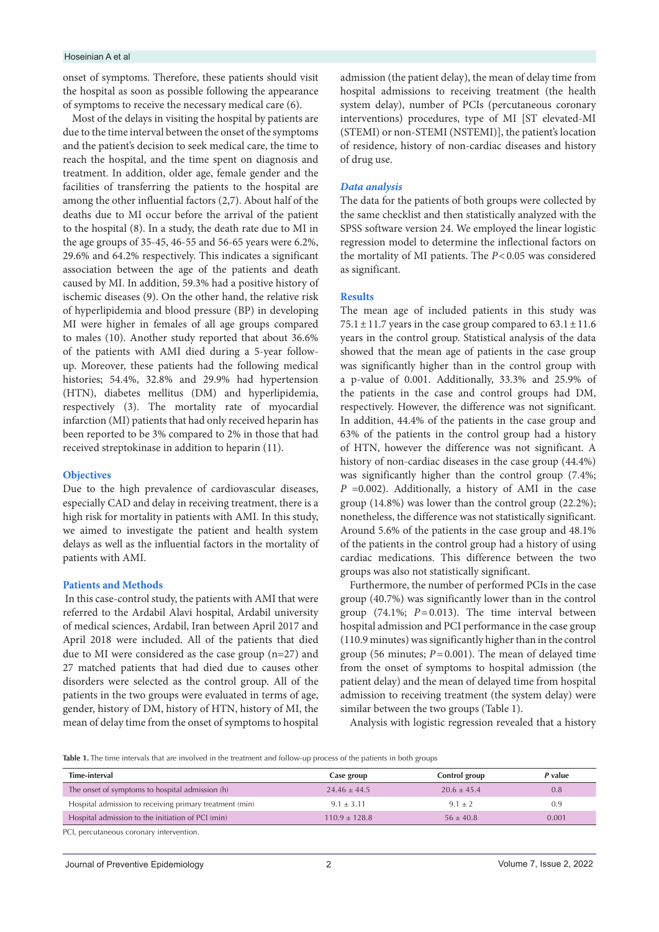#### Hoseinian A et al

onset of symptoms. Therefore, these patients should visit the hospital as soon as possible following the appearance of symptoms to receive the necessary medical care (6).

Most of the delays in visiting the hospital by patients are due to the time interval between the onset of the symptoms and the patient's decision to seek medical care, the time to reach the hospital, and the time spent on diagnosis and treatment. In addition, older age, female gender and the facilities of transferring the patients to the hospital are among the other influential factors (2,7). About half of the deaths due to MI occur before the arrival of the patient to the hospital (8). In a study, the death rate due to MI in the age groups of 35-45, 46-55 and 56-65 years were 6.2%, 29.6% and 64.2% respectively. This indicates a significant association between the age of the patients and death caused by MI. In addition, 59.3% had a positive history of ischemic diseases (9). On the other hand, the relative risk of hyperlipidemia and blood pressure (BP) in developing MI were higher in females of all age groups compared to males (10). Another study reported that about 36.6% of the patients with AMI died during a 5-year followup. Moreover, these patients had the following medical histories; 54.4%, 32.8% and 29.9% had hypertension (HTN), diabetes mellitus (DM) and hyperlipidemia, respectively (3). The mortality rate of myocardial infarction (MI) patients that had only received heparin has been reported to be 3% compared to 2% in those that had received streptokinase in addition to heparin (11).

#### **Objectives**

Due to the high prevalence of cardiovascular diseases, especially CAD and delay in receiving treatment, there is a high risk for mortality in patients with AMI. In this study, we aimed to investigate the patient and health system delays as well as the influential factors in the mortality of patients with AMI.

#### **Patients and Methods**

 In this case-control study, the patients with AMI that were referred to the Ardabil Alavi hospital, Ardabil university of medical sciences, Ardabil, Iran between April 2017 and April 2018 were included. All of the patients that died due to MI were considered as the case group (n=27) and 27 matched patients that had died due to causes other disorders were selected as the control group. All of the patients in the two groups were evaluated in terms of age, gender, history of DM, history of HTN, history of MI, the mean of delay time from the onset of symptoms to hospital

admission (the patient delay), the mean of delay time from hospital admissions to receiving treatment (the health system delay), number of PCIs (percutaneous coronary interventions) procedures, type of MI [ST elevated-MI (STEMI) or non-STEMI (NSTEMI)], the patient's location of residence, history of non-cardiac diseases and history of drug use.

#### *Data analysis*

The data for the patients of both groups were collected by the same checklist and then statistically analyzed with the SPSS software version 24. We employed the linear logistic regression model to determine the inflectional factors on the mortality of MI patients. The *P*<0.05 was considered as significant.

#### **Results**

The mean age of included patients in this study was 75.1  $\pm$  11.7 years in the case group compared to 63.1  $\pm$  11.6 years in the control group. Statistical analysis of the data showed that the mean age of patients in the case group was significantly higher than in the control group with a p-value of 0.001. Additionally, 33.3% and 25.9% of the patients in the case and control groups had DM, respectively. However, the difference was not significant. In addition, 44.4% of the patients in the case group and 63% of the patients in the control group had a history of HTN, however the difference was not significant. A history of non-cardiac diseases in the case group (44.4%) was significantly higher than the control group (7.4%; *P* =0.002). Additionally, a history of AMI in the case group (14.8%) was lower than the control group (22.2%); nonetheless, the difference was not statistically significant. Around 5.6% of the patients in the case group and 48.1% of the patients in the control group had a history of using cardiac medications. This difference between the two groups was also not statistically significant.

Furthermore, the number of performed PCIs in the case group (40.7%) was significantly lower than in the control group  $(74.1\%; P=0.013)$ . The time interval between hospital admission and PCI performance in the case group (110.9 minutes) was significantly higher than in the control group (56 minutes;  $P = 0.001$ ). The mean of delayed time from the onset of symptoms to hospital admission (the patient delay) and the mean of delayed time from hospital admission to receiving treatment (the system delay) were similar between the two groups (Table 1).

Analysis with logistic regression revealed that a history

**Table 1.** The time intervals that are involved in the treatment and follow-up process of the patients in both groups

| Time-interval                                           | Case group      | Control group | P value |
|---------------------------------------------------------|-----------------|---------------|---------|
| The onset of symptoms to hospital admission (h)         | $24.46 + 44.5$  | $20.6 + 45.4$ | 0.8     |
| Hospital admission to receiving primary treatment (min) | $9.1 + 3.11$    | $9.1 + 2$     | 0.9     |
| Hospital admission to the initiation of PCI (min)       | $110.9 + 128.8$ | $56 + 40.8$   | 0.001   |

PCI, percutaneous coronary intervention.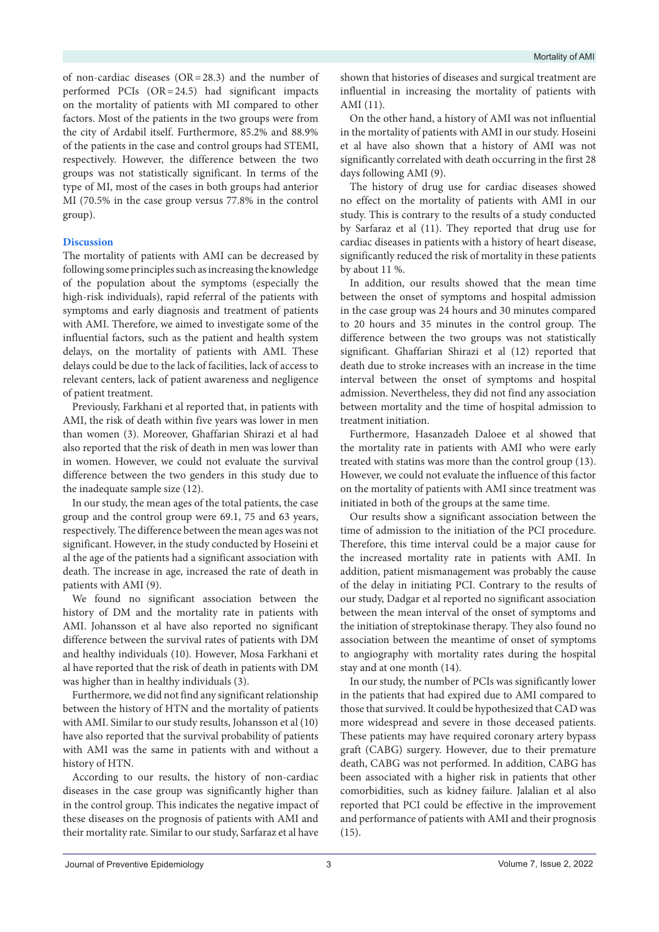of non-cardiac diseases (OR=28.3) and the number of performed PCIs (OR=24.5) had significant impacts on the mortality of patients with MI compared to other factors. Most of the patients in the two groups were from the city of Ardabil itself. Furthermore, 85.2% and 88.9% of the patients in the case and control groups had STEMI, respectively. However, the difference between the two groups was not statistically significant. In terms of the type of MI, most of the cases in both groups had anterior MI (70.5% in the case group versus 77.8% in the control group).

### **Discussion**

The mortality of patients with AMI can be decreased by following some principles such as increasing the knowledge of the population about the symptoms (especially the high-risk individuals), rapid referral of the patients with symptoms and early diagnosis and treatment of patients with AMI. Therefore, we aimed to investigate some of the influential factors, such as the patient and health system delays, on the mortality of patients with AMI. These delays could be due to the lack of facilities, lack of access to relevant centers, lack of patient awareness and negligence of patient treatment.

Previously, Farkhani et al reported that, in patients with AMI, the risk of death within five years was lower in men than women (3). Moreover, Ghaffarian Shirazi et al had also reported that the risk of death in men was lower than in women. However, we could not evaluate the survival difference between the two genders in this study due to the inadequate sample size (12).

In our study, the mean ages of the total patients, the case group and the control group were 69.1, 75 and 63 years, respectively. The difference between the mean ages was not significant. However, in the study conducted by Hoseini et al the age of the patients had a significant association with death. The increase in age, increased the rate of death in patients with AMI (9).

We found no significant association between the history of DM and the mortality rate in patients with AMI. Johansson et al have also reported no significant difference between the survival rates of patients with DM and healthy individuals (10). However, Mosa Farkhani et al have reported that the risk of death in patients with DM was higher than in healthy individuals (3).

Furthermore, we did not find any significant relationship between the history of HTN and the mortality of patients with AMI. Similar to our study results, Johansson et al (10) have also reported that the survival probability of patients with AMI was the same in patients with and without a history of HTN.

According to our results, the history of non-cardiac diseases in the case group was significantly higher than in the control group. This indicates the negative impact of these diseases on the prognosis of patients with AMI and their mortality rate. Similar to our study, Sarfaraz et al have

shown that histories of diseases and surgical treatment are influential in increasing the mortality of patients with AMI (11).

On the other hand, a history of AMI was not influential in the mortality of patients with AMI in our study. Hoseini et al have also shown that a history of AMI was not significantly correlated with death occurring in the first 28 days following AMI (9).

The history of drug use for cardiac diseases showed no effect on the mortality of patients with AMI in our study. This is contrary to the results of a study conducted by Sarfaraz et al (11). They reported that drug use for cardiac diseases in patients with a history of heart disease, significantly reduced the risk of mortality in these patients by about 11 %.

In addition, our results showed that the mean time between the onset of symptoms and hospital admission in the case group was 24 hours and 30 minutes compared to 20 hours and 35 minutes in the control group. The difference between the two groups was not statistically significant. Ghaffarian Shirazi et al (12) reported that death due to stroke increases with an increase in the time interval between the onset of symptoms and hospital admission. Nevertheless, they did not find any association between mortality and the time of hospital admission to treatment initiation.

Furthermore, Hasanzadeh Daloee et al showed that the mortality rate in patients with AMI who were early treated with statins was more than the control group (13). However, we could not evaluate the influence of this factor on the mortality of patients with AMI since treatment was initiated in both of the groups at the same time.

Our results show a significant association between the time of admission to the initiation of the PCI procedure. Therefore, this time interval could be a major cause for the increased mortality rate in patients with AMI. In addition, patient mismanagement was probably the cause of the delay in initiating PCI. Contrary to the results of our study, Dadgar et al reported no significant association between the mean interval of the onset of symptoms and the initiation of streptokinase therapy. They also found no association between the meantime of onset of symptoms to angiography with mortality rates during the hospital stay and at one month (14).

In our study, the number of PCIs was significantly lower in the patients that had expired due to AMI compared to those that survived. It could be hypothesized that CAD was more widespread and severe in those deceased patients. These patients may have required coronary artery bypass graft (CABG) surgery. However, due to their premature death, CABG was not performed. In addition, CABG has been associated with a higher risk in patients that other comorbidities, such as kidney failure. Jalalian et al also reported that PCI could be effective in the improvement and performance of patients with AMI and their prognosis (15).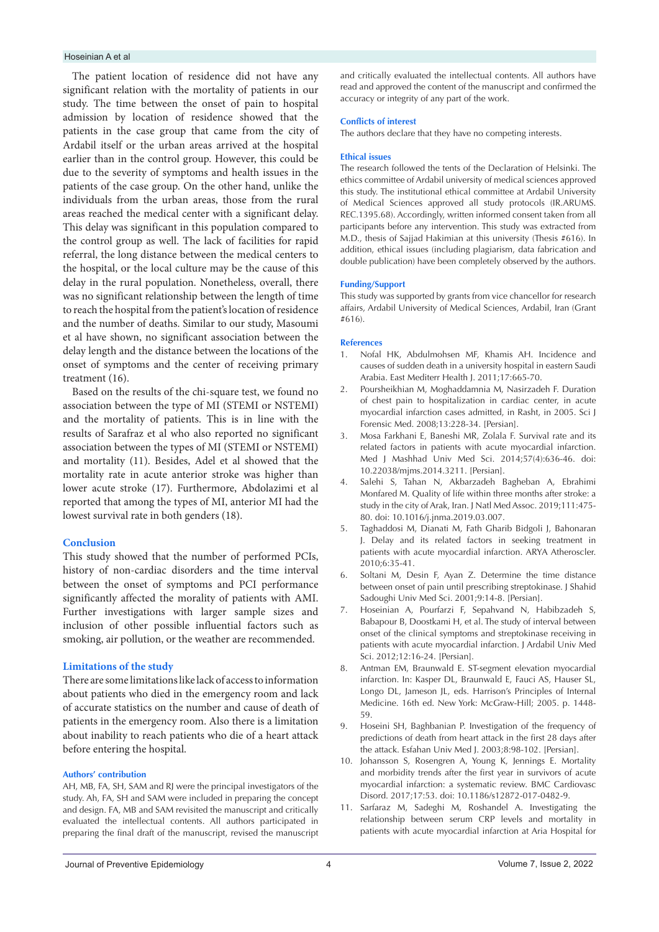#### Hoseinian A et al

The patient location of residence did not have any significant relation with the mortality of patients in our study. The time between the onset of pain to hospital admission by location of residence showed that the patients in the case group that came from the city of Ardabil itself or the urban areas arrived at the hospital earlier than in the control group. However, this could be due to the severity of symptoms and health issues in the patients of the case group. On the other hand, unlike the individuals from the urban areas, those from the rural areas reached the medical center with a significant delay. This delay was significant in this population compared to the control group as well. The lack of facilities for rapid referral, the long distance between the medical centers to the hospital, or the local culture may be the cause of this delay in the rural population. Nonetheless, overall, there was no significant relationship between the length of time to reach the hospital from the patient's location of residence and the number of deaths. Similar to our study, Masoumi et al have shown, no significant association between the delay length and the distance between the locations of the onset of symptoms and the center of receiving primary treatment (16).

Based on the results of the chi-square test, we found no association between the type of MI (STEMI or NSTEMI) and the mortality of patients. This is in line with the results of Sarafraz et al who also reported no significant association between the types of MI (STEMI or NSTEMI) and mortality (11). Besides, Adel et al showed that the mortality rate in acute anterior stroke was higher than lower acute stroke (17). Furthermore, Abdolazimi et al reported that among the types of MI, anterior MI had the lowest survival rate in both genders (18).

#### **Conclusion**

This study showed that the number of performed PCIs, history of non-cardiac disorders and the time interval between the onset of symptoms and PCI performance significantly affected the morality of patients with AMI. Further investigations with larger sample sizes and inclusion of other possible influential factors such as smoking, air pollution, or the weather are recommended.

#### **Limitations of the study**

There are some limitations like lack of access to information about patients who died in the emergency room and lack of accurate statistics on the number and cause of death of patients in the emergency room. Also there is a limitation about inability to reach patients who die of a heart attack before entering the hospital.

#### **Authors' contribution**

AH, MB, FA, SH, SAM and RJ were the principal investigators of the study. Ah, FA, SH and SAM were included in preparing the concept and design. FA, MB and SAM revisited the manuscript and critically evaluated the intellectual contents. All authors participated in preparing the final draft of the manuscript, revised the manuscript

and critically evaluated the intellectual contents. All authors have read and approved the content of the manuscript and confirmed the accuracy or integrity of any part of the work.

#### **Conflicts of interest**

The authors declare that they have no competing interests.

#### **Ethical issues**

The research followed the tents of the Declaration of Helsinki. The ethics committee of Ardabil university of medical sciences approved this study. The institutional ethical committee at Ardabil University of Medical Sciences approved all study protocols (IR.ARUMS. REC.1395.68). Accordingly, written informed consent taken from all participants before any intervention. This study was extracted from M.D., thesis of Sajjad Hakimian at this university (Thesis #616). In addition, ethical issues (including plagiarism, data fabrication and double publication) have been completely observed by the authors.

#### **Funding/Support**

This study was supported by grants from vice chancellor for research affairs, Ardabil University of Medical Sciences, Ardabil, Iran (Grant #616).

#### **References**

- 1. Nofal HK, Abdulmohsen MF, Khamis AH. Incidence and causes of sudden death in a university hospital in eastern Saudi Arabia. East Mediterr Health J. 2011;17:665-70.
- 2. Poursheikhian M, Moghaddamnia M, Nasirzadeh F. Duration of chest pain to hospitalization in cardiac center, in acute myocardial infarction cases admitted, in Rasht, in 2005. Sci J Forensic Med. 2008;13:228-34. [Persian].
- 3. Mosa Farkhani E, Baneshi MR, Zolala F. Survival rate and its related factors in patients with acute myocardial infarction. Med J Mashhad Univ Med Sci. 2014;57(4):636-46. doi: 10.22038/mjms.2014.3211. [Persian].
- 4. Salehi S, Tahan N, Akbarzadeh Bagheban A, Ebrahimi Monfared M. Quality of life within three months after stroke: a study in the city of Arak, Iran. J Natl Med Assoc. 2019;111:475- 80. doi: 10.1016/j.jnma.2019.03.007.
- 5. Taghaddosi M, Dianati M, Fath Gharib Bidgoli J, Bahonaran J. Delay and its related factors in seeking treatment in patients with acute myocardial infarction. ARYA Atheroscler. 2010;6:35-41.
- 6. Soltani M, Desin F, Ayan Z. Determine the time distance between onset of pain until prescribing streptokinase. J Shahid Sadoughi Univ Med Sci. 2001;9:14-8. [Persian].
- 7. Hoseinian A, Pourfarzi F, Sepahvand N, Habibzadeh S, Babapour B, Doostkami H, et al. The study of interval between onset of the clinical symptoms and streptokinase receiving in patients with acute myocardial infarction. J Ardabil Univ Med Sci. 2012;12:16-24. [Persian].
- 8. Antman EM, Braunwald E. ST-segment elevation myocardial infarction. In: Kasper DL, Braunwald E, Fauci AS, Hauser SL, Longo DL, Jameson JL, eds. Harrison's Principles of Internal Medicine. 16th ed. New York: McGraw-Hill; 2005. p. 1448- 59.
- 9. Hoseini SH, Baghbanian P. Investigation of the frequency of predictions of death from heart attack in the first 28 days after the attack. Esfahan Univ Med J. 2003;8:98-102. [Persian].
- 10. Johansson S, Rosengren A, Young K, Jennings E. Mortality and morbidity trends after the first year in survivors of acute myocardial infarction: a systematic review. BMC Cardiovasc Disord. 2017;17:53. doi: 10.1186/s12872-017-0482-9.
- 11. Sarfaraz M, Sadeghi M, Roshandel A. Investigating the relationship between serum CRP levels and mortality in patients with acute myocardial infarction at Aria Hospital for